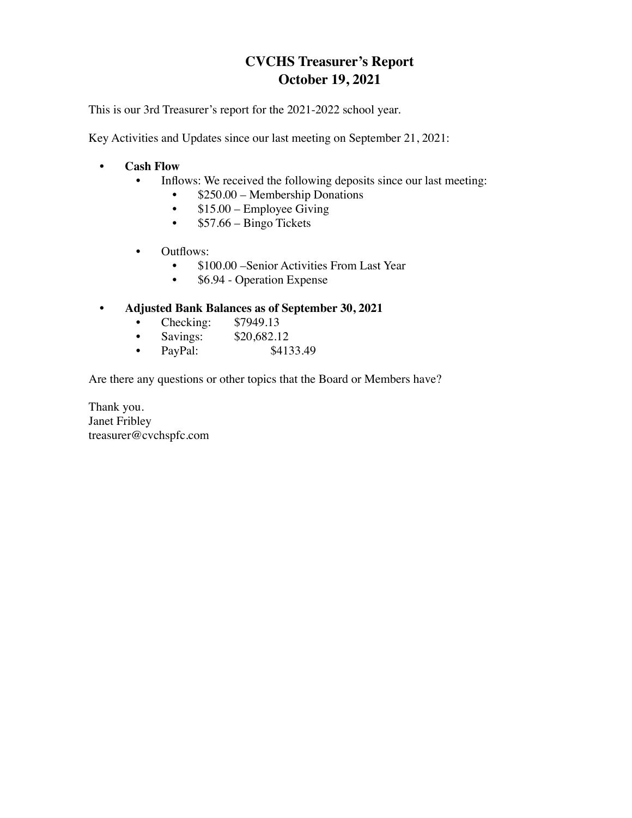## **CVCHS Treasurer's Report October 19, 2021**

This is our 3rd Treasurer's report for the 2021-2022 school year.

Key Activities and Updates since our last meeting on September 21, 2021:

- **Cash Flow**
	- Inflows: We received the following deposits since our last meeting:
		- \$250.00 Membership Donations
		- $$15.00 -$  Employee Giving
		- $\cdot$  \$57.66 Bingo Tickets
	- Outflows:
		- \$100.00 Senior Activities From Last Year
		- \$6.94 Operation Expense
- **Adjusted Bank Balances as of September 30, 2021**
	- Checking: \$7949.13<br>• Savings: \$20,682.1
	- Savings: \$20,682.12
	- PayPal: \$4133.49

Are there any questions or other topics that the Board or Members have?

Thank you. Janet Fribley treasurer@cvchspfc.com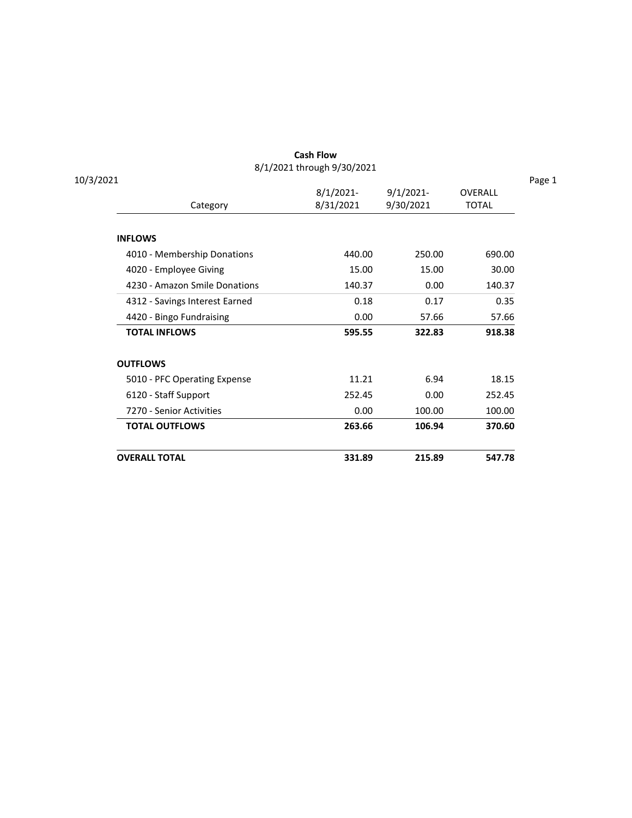| <b>OVERALL TOTAL</b>           | 331.89                     | 215.89       | 547.78         |
|--------------------------------|----------------------------|--------------|----------------|
| <b>TOTAL OUTFLOWS</b>          | 263.66                     | 106.94       | 370.60         |
| 7270 - Senior Activities       | 0.00                       | 100.00       | 100.00         |
| 6120 - Staff Support           | 252.45                     | 0.00         | 252.45         |
| 5010 - PFC Operating Expense   | 11.21                      | 6.94         | 18.15          |
| <b>OUTFLOWS</b>                |                            |              |                |
| <b>TOTAL INFLOWS</b>           | 595.55                     | 322.83       | 918.38         |
| 4420 - Bingo Fundraising       | 0.00                       | 57.66        | 57.66          |
| 4312 - Savings Interest Earned | 0.18                       | 0.17         | 0.35           |
| 4230 - Amazon Smile Donations  | 140.37                     | 0.00         | 140.37         |
| 4020 - Employee Giving         | 15.00                      | 15.00        | 30.00          |
| 4010 - Membership Donations    | 440.00                     | 250.00       | 690.00         |
| <b>INFLOWS</b>                 |                            |              |                |
| Category                       | 8/31/2021                  | 9/30/2021    | <b>TOTAL</b>   |
|                                | $8/1/2021$ -               | $9/1/2021$ - | <b>OVERALL</b> |
| 10/3/2021                      | 8/1/2021 through 9/30/2021 |              |                |

Cash Flow